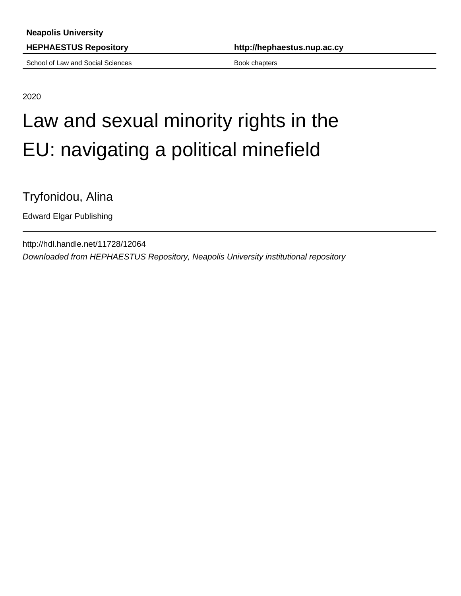School of Law and Social Sciences Book chapters Book chapters

**HEPHAESTUS Repository http://hephaestus.nup.ac.cy**

2020

## Law and sexual minority rights in the EU: navigating a political minefield

Tryfonidou, Alina

Edward Elgar Publishing

http://hdl.handle.net/11728/12064 Downloaded from HEPHAESTUS Repository, Neapolis University institutional repository